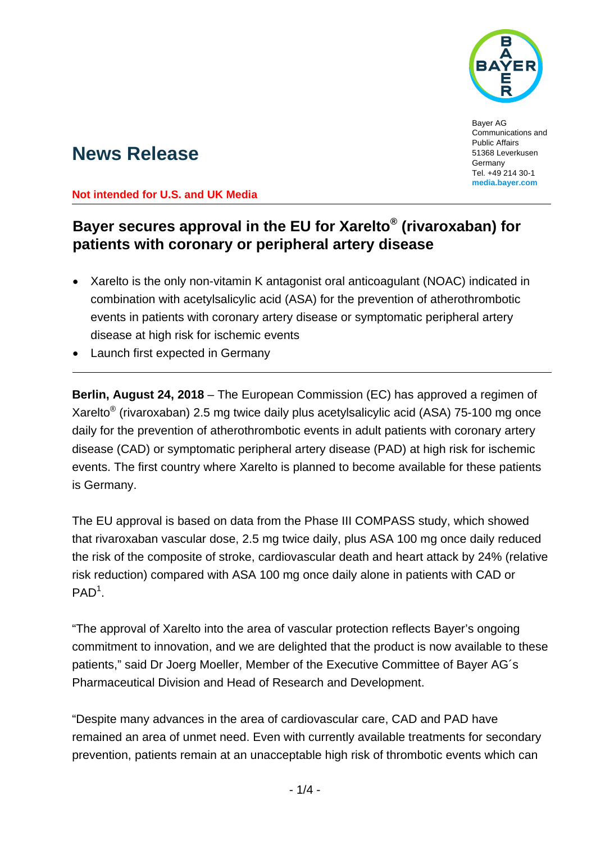

Bayer AG Communications and Public Affairs 51368 Leverkusen **Germany** Tel. +49 214 30-1 **media.bayer.com**

# **News Release**

**Not intended for U.S. and UK Media** 

## **Bayer secures approval in the EU for Xarelto® (rivaroxaban) for patients with coronary or peripheral artery disease**

- Xarelto is the only non-vitamin K antagonist oral anticoagulant (NOAC) indicated in combination with acetylsalicylic acid (ASA) for the prevention of atherothrombotic events in patients with coronary artery disease or symptomatic peripheral artery disease at high risk for ischemic events
- Launch first expected in Germany

**Berlin, August 24, 2018** – The European Commission (EC) has approved a regimen of Xarelto® (rivaroxaban) 2.5 mg twice daily plus acetylsalicylic acid (ASA) 75-100 mg once daily for the prevention of atherothrombotic events in adult patients with coronary artery disease (CAD) or symptomatic peripheral artery disease (PAD) at high risk for ischemic events. The first country where Xarelto is planned to become available for these patients is Germany.

The EU approval is based on data from the Phase III COMPASS study, which showed that rivaroxaban vascular dose, 2.5 mg twice daily, plus ASA 100 mg once daily reduced the risk of the composite of stroke, cardiovascular death and heart attack by 24% (relative risk reduction) compared with ASA 100 mg once daily alone in patients with CAD or  $PAD<sup>1</sup>$ .

"The approval of Xarelto into the area of vascular protection reflects Bayer's ongoing commitment to innovation, and we are delighted that the product is now available to these patients," said Dr Joerg Moeller, Member of the Executive Committee of Bayer AG´s Pharmaceutical Division and Head of Research and Development.

"Despite many advances in the area of cardiovascular care, CAD and PAD have remained an area of unmet need. Even with currently available treatments for secondary prevention, patients remain at an unacceptable high risk of thrombotic events which can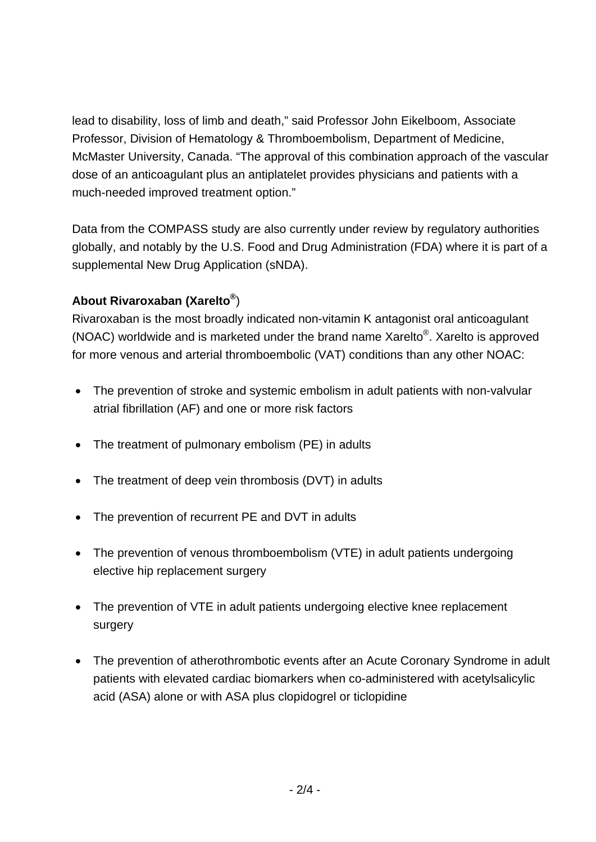lead to disability, loss of limb and death," said Professor John Eikelboom, Associate Professor, Division of Hematology & Thromboembolism, Department of Medicine, McMaster University, Canada. "The approval of this combination approach of the vascular dose of an anticoagulant plus an antiplatelet provides physicians and patients with a much-needed improved treatment option."

Data from the COMPASS study are also currently under review by regulatory authorities globally, and notably by the U.S. Food and Drug Administration (FDA) where it is part of a supplemental New Drug Application (sNDA).

### **About Rivaroxaban (Xarelto®**)

Rivaroxaban is the most broadly indicated non-vitamin K antagonist oral anticoagulant (NOAC) worldwide and is marketed under the brand name Xarelto®. Xarelto is approved for more venous and arterial thromboembolic (VAT) conditions than any other NOAC:

- The prevention of stroke and systemic embolism in adult patients with non-valvular atrial fibrillation (AF) and one or more risk factors
- The treatment of pulmonary embolism (PE) in adults
- The treatment of deep vein thrombosis (DVT) in adults
- The prevention of recurrent PE and DVT in adults
- The prevention of venous thromboembolism (VTE) in adult patients undergoing elective hip replacement surgery
- The prevention of VTE in adult patients undergoing elective knee replacement surgery
- The prevention of atherothrombotic events after an Acute Coronary Syndrome in adult patients with elevated cardiac biomarkers when co-administered with acetylsalicylic acid (ASA) alone or with ASA plus clopidogrel or ticlopidine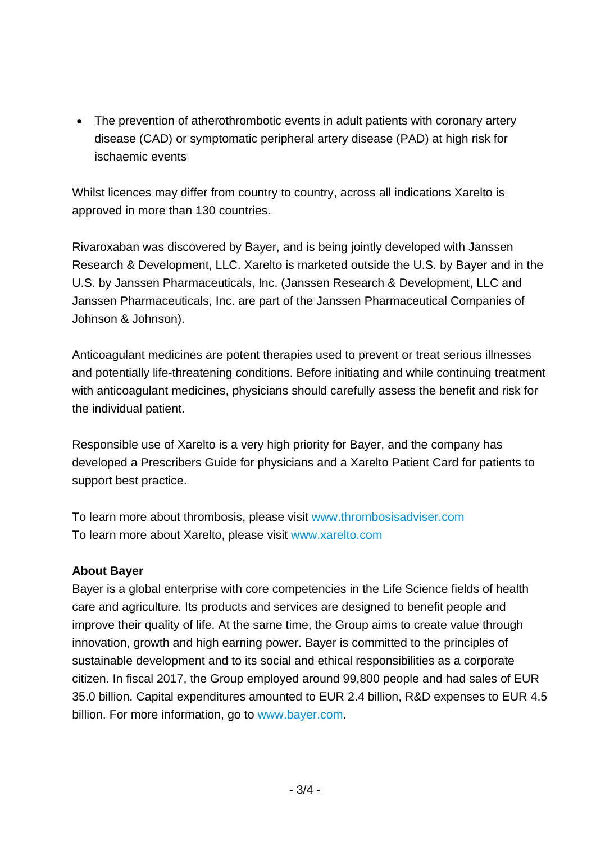• The prevention of atherothrombotic events in adult patients with coronary artery disease (CAD) or symptomatic peripheral artery disease (PAD) at high risk for ischaemic events

Whilst licences may differ from country to country, across all indications Xarelto is approved in more than 130 countries.

Rivaroxaban was discovered by Bayer, and is being jointly developed with Janssen Research & Development, LLC. Xarelto is marketed outside the U.S. by Bayer and in the U.S. by Janssen Pharmaceuticals, Inc. (Janssen Research & Development, LLC and Janssen Pharmaceuticals, Inc. are part of the Janssen Pharmaceutical Companies of Johnson & Johnson).

Anticoagulant medicines are potent therapies used to prevent or treat serious illnesses and potentially life-threatening conditions. Before initiating and while continuing treatment with anticoagulant medicines, physicians should carefully assess the benefit and risk for the individual patient.

Responsible use of Xarelto is a very high priority for Bayer, and the company has developed a Prescribers Guide for physicians and a Xarelto Patient Card for patients to support best practice.

To learn more about thrombosis, please visit www.thrombosisadviser.com To learn more about Xarelto, please visit www.xarelto.com

#### **About Bayer**

Bayer is a global enterprise with core competencies in the Life Science fields of health care and agriculture. Its products and services are designed to benefit people and improve their quality of life. At the same time, the Group aims to create value through innovation, growth and high earning power. Bayer is committed to the principles of sustainable development and to its social and ethical responsibilities as a corporate citizen. In fiscal 2017, the Group employed around 99,800 people and had sales of EUR 35.0 billion. Capital expenditures amounted to EUR 2.4 billion, R&D expenses to EUR 4.5 billion. For more information, go to www.bayer.com.